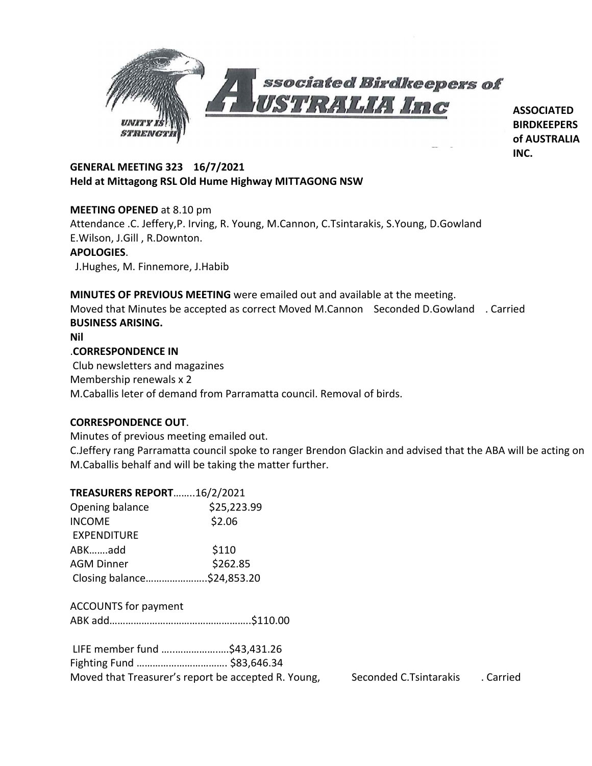

**ASSOCIATED BIRDKEEPERS of AUSTRALIA INC.**

# **GENERAL MEETING 323 16/7/2021 Held at Mittagong RSL Old Hume Highway MITTAGONG NSW**

# **MEETING OPENED** at 8.10 pm

Attendance .C. Jeffery,P. Irving, R. Young, M.Cannon, C.Tsintarakis, S.Young, D.Gowland E.Wilson, J.Gill , R.Downton.

## **APOLOGIES**.

J.Hughes, M. Finnemore, J.Habib

**MINUTES OF PREVIOUS MEETING** were emailed out and available at the meeting. Moved that Minutes be accepted as correct Moved M.Cannon Seconded D.Gowland . Carried **BUSINESS ARISING. Nil** .**CORRESPONDENCE IN** Club newsletters and magazines Membership renewals x 2 M.Caballis leter of demand from Parramatta council. Removal of birds.

## **CORRESPONDENCE OUT**.

Minutes of previous meeting emailed out.

**TREASURERS REPORT**……..16/2/2021

C.Jeffery rang Parramatta council spoke to ranger Brendon Glackin and advised that the ABA will be acting on M.Caballis behalf and will be taking the matter further.

| <b>TREASURERS REPORT16/2/2021</b> |             |
|-----------------------------------|-------------|
| Opening balance                   | \$25,223.99 |
| <b>INCOME</b>                     | \$2.06      |
| <b>EXPENDITURE</b>                |             |
| ABKadd                            | \$110       |
| <b>AGM Dinner</b>                 | \$262.85    |
| Closing balance\$24,853.20        |             |
|                                   |             |

ACCOUNTS for payment

|--|--|

| LIFE member fund \$43,431.26 |                                                     |
|------------------------------|-----------------------------------------------------|
|                              |                                                     |
|                              | Moved that Treasurer's report be accepted R. Young, |

Seconded C.Tsintarakis . Carried